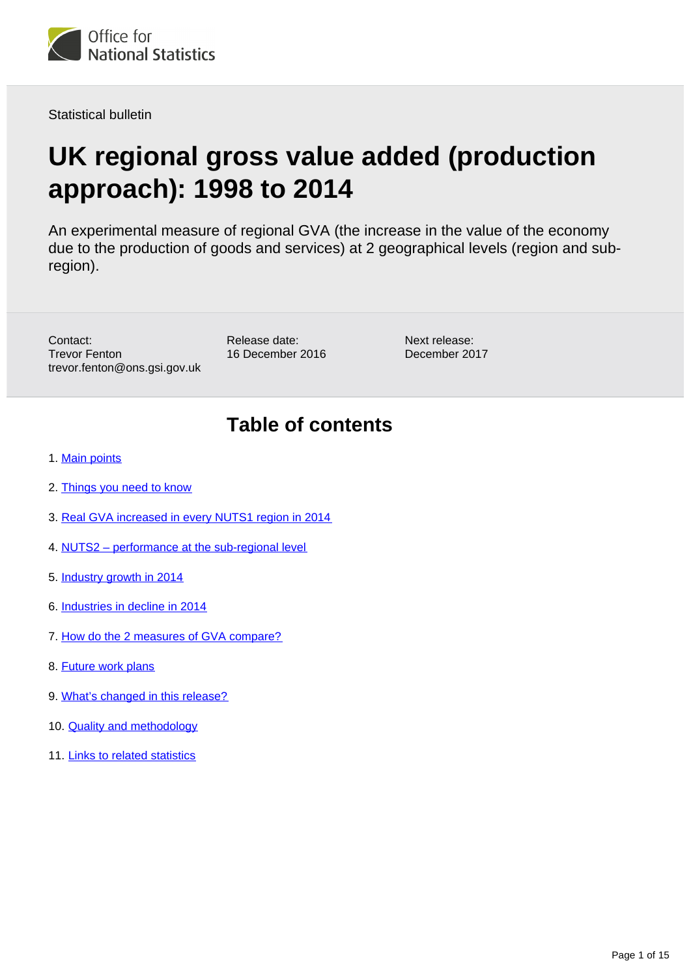

Statistical bulletin

# **UK regional gross value added (production approach): 1998 to 2014**

An experimental measure of regional GVA (the increase in the value of the economy due to the production of goods and services) at 2 geographical levels (region and subregion).

Contact: Trevor Fenton trevor.fenton@ons.gsi.gov.uk Release date: 16 December 2016 Next release: December 2017

## **Table of contents**

- 1. [Main points](#page-1-0)
- 2. [Things you need to know](#page-1-1)
- 3. [Real GVA increased in every NUTS1 region in 2014](#page-1-2)
- 4. [NUTS2 performance at the sub-regional level](#page-3-0)
- 5. [Industry growth in 2014](#page-5-0)
- 6. [Industries in decline in 2014](#page-7-0)
- 7. [How do the 2 measures of GVA compare?](#page-8-0)
- 8. [Future work plans](#page-11-0)
- 9. [What's changed in this release?](#page-11-1)
- 10. [Quality and methodology](#page-12-0)
- 11. [Links to related statistics](#page-13-0)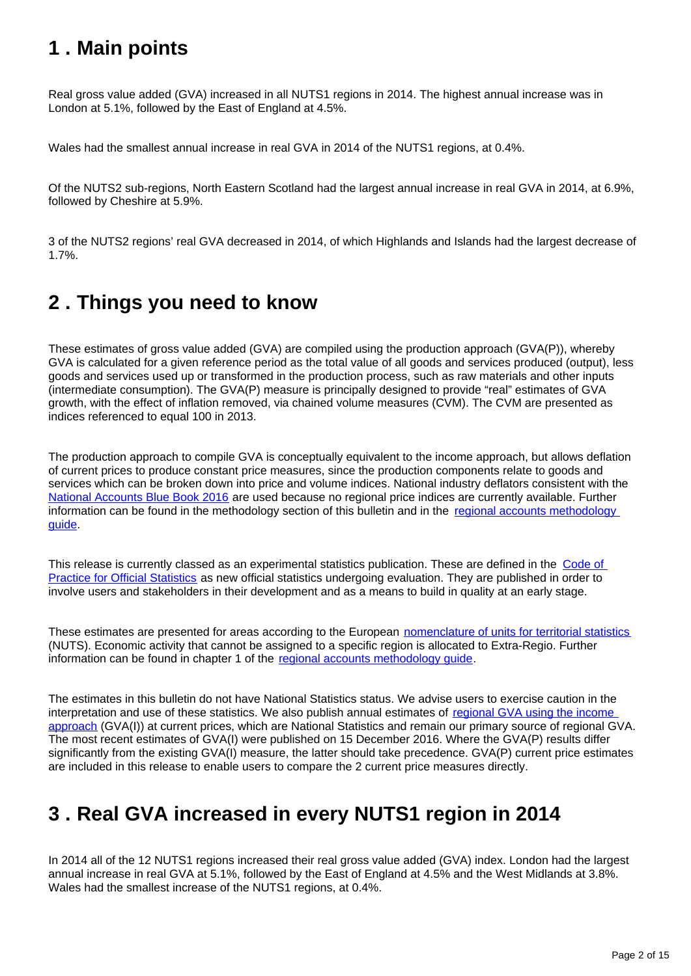## <span id="page-1-0"></span>**1 . Main points**

Real gross value added (GVA) increased in all NUTS1 regions in 2014. The highest annual increase was in London at 5.1%, followed by the East of England at 4.5%.

Wales had the smallest annual increase in real GVA in 2014 of the NUTS1 regions, at 0.4%.

Of the NUTS2 sub-regions, North Eastern Scotland had the largest annual increase in real GVA in 2014, at 6.9%, followed by Cheshire at 5.9%.

3 of the NUTS2 regions' real GVA decreased in 2014, of which Highlands and Islands had the largest decrease of 1.7%.

## <span id="page-1-1"></span>**2 . Things you need to know**

These estimates of gross value added (GVA) are compiled using the production approach (GVA(P)), whereby GVA is calculated for a given reference period as the total value of all goods and services produced (output), less goods and services used up or transformed in the production process, such as raw materials and other inputs (intermediate consumption). The GVA(P) measure is principally designed to provide "real" estimates of GVA growth, with the effect of inflation removed, via chained volume measures (CVM). The CVM are presented as indices referenced to equal 100 in 2013.

The production approach to compile GVA is conceptually equivalent to the income approach, but allows deflation of current prices to produce constant price measures, since the production components relate to goods and services which can be broken down into price and volume indices. National industry deflators consistent with the [National Accounts Blue Book 2016](http://www.ons.gov.uk/economy/grossdomesticproductgdp/compendium/unitedkingdomnationalaccountsthebluebook/2016edition) are used because no regional price indices are currently available. Further information can be found in the methodology section of this bulletin and in the [regional accounts methodology](http://www.ons.gov.uk/economy/regionalaccounts/grossdisposablehouseholdincome/methodologies/regionalaccounts)  [guide](http://www.ons.gov.uk/economy/regionalaccounts/grossdisposablehouseholdincome/methodologies/regionalaccounts).

This release is currently classed as an experimental statistics publication. These are defined in the Code of [Practice for Official Statistics](https://www.statisticsauthority.gov.uk/monitoring-and-assessment/code-of-practice/) as new official statistics undergoing evaluation. They are published in order to involve users and stakeholders in their development and as a means to build in quality at an early stage.

These estimates are presented for areas according to the European [nomenclature of units for territorial statistics](https://www.ons.gov.uk/methodology/geography/geographicalproducts/namescodesandlookups/namesandcodeslistings/namesandcodesforeurostatgeography) (NUTS). Economic activity that cannot be assigned to a specific region is allocated to Extra-Regio. Further information can be found in chapter 1 of the [regional accounts methodology guide.](http://www.ons.gov.uk/economy/regionalaccounts/grossdisposablehouseholdincome/methodologies/regionalaccounts)

The estimates in this bulletin do not have National Statistics status. We advise users to exercise caution in the interpretation and use of these statistics. We also publish annual estimates of [regional GVA using the income](https://www.ons.gov.uk/economy/grossvalueaddedgva/bulletins/regionalgrossvalueaddedincomeapproach/december2016)  [approach](https://www.ons.gov.uk/economy/grossvalueaddedgva/bulletins/regionalgrossvalueaddedincomeapproach/december2016) (GVA(I)) at current prices, which are National Statistics and remain our primary source of regional GVA. The most recent estimates of GVA(I) were published on 15 December 2016. Where the GVA(P) results differ significantly from the existing GVA(I) measure, the latter should take precedence. GVA(P) current price estimates are included in this release to enable users to compare the 2 current price measures directly.

## <span id="page-1-2"></span>**3 . Real GVA increased in every NUTS1 region in 2014**

In 2014 all of the 12 NUTS1 regions increased their real gross value added (GVA) index. London had the largest annual increase in real GVA at 5.1%, followed by the East of England at 4.5% and the West Midlands at 3.8%. Wales had the smallest increase of the NUTS1 regions, at 0.4%.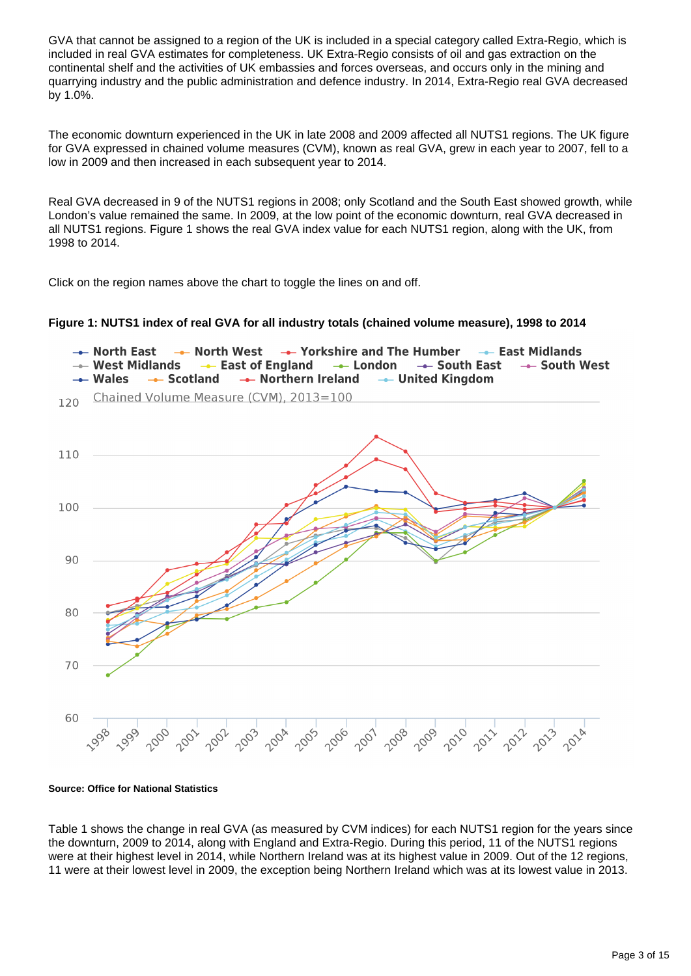GVA that cannot be assigned to a region of the UK is included in a special category called Extra-Regio, which is included in real GVA estimates for completeness. UK Extra-Regio consists of oil and gas extraction on the continental shelf and the activities of UK embassies and forces overseas, and occurs only in the mining and quarrying industry and the public administration and defence industry. In 2014, Extra-Regio real GVA decreased by 1.0%.

The economic downturn experienced in the UK in late 2008 and 2009 affected all NUTS1 regions. The UK figure for GVA expressed in chained volume measures (CVM), known as real GVA, grew in each year to 2007, fell to a low in 2009 and then increased in each subsequent year to 2014.

Real GVA decreased in 9 of the NUTS1 regions in 2008; only Scotland and the South East showed growth, while London's value remained the same. In 2009, at the low point of the economic downturn, real GVA decreased in all NUTS1 regions. Figure 1 shows the real GVA index value for each NUTS1 region, along with the UK, from 1998 to 2014.

Click on the region names above the chart to toggle the lines on and off.

#### **Figure 1: NUTS1 index of real GVA for all industry totals (chained volume measure), 1998 to 2014**



**Source: Office for National Statistics**

Table 1 shows the change in real GVA (as measured by CVM indices) for each NUTS1 region for the years since the downturn, 2009 to 2014, along with England and Extra-Regio. During this period, 11 of the NUTS1 regions were at their highest level in 2014, while Northern Ireland was at its highest value in 2009. Out of the 12 regions, 11 were at their lowest level in 2009, the exception being Northern Ireland which was at its lowest value in 2013.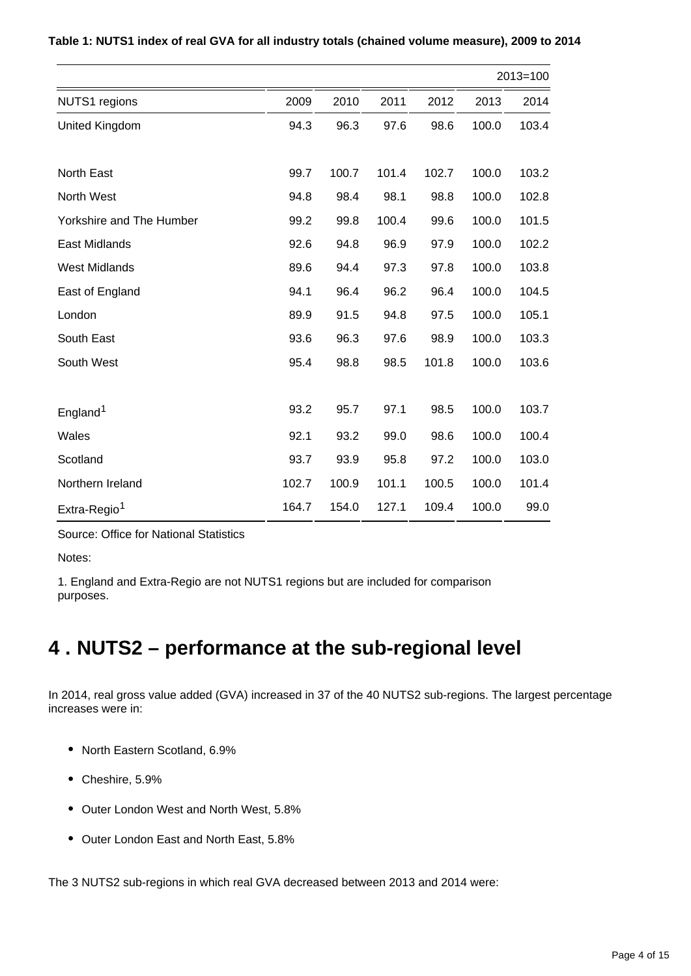|                          |       |       | $2013 = 100$ |       |       |       |  |  |
|--------------------------|-------|-------|--------------|-------|-------|-------|--|--|
| <b>NUTS1</b> regions     | 2009  | 2010  | 2011         | 2012  | 2013  | 2014  |  |  |
| <b>United Kingdom</b>    | 94.3  | 96.3  | 97.6         | 98.6  | 100.0 | 103.4 |  |  |
| <b>North East</b>        | 99.7  | 100.7 | 101.4        | 102.7 | 100.0 | 103.2 |  |  |
| North West               | 94.8  | 98.4  | 98.1         | 98.8  | 100.0 | 102.8 |  |  |
| Yorkshire and The Humber | 99.2  | 99.8  | 100.4        | 99.6  | 100.0 | 101.5 |  |  |
| <b>East Midlands</b>     | 92.6  | 94.8  | 96.9         | 97.9  | 100.0 | 102.2 |  |  |
| <b>West Midlands</b>     | 89.6  | 94.4  | 97.3         | 97.8  | 100.0 | 103.8 |  |  |
| East of England          | 94.1  | 96.4  | 96.2         | 96.4  | 100.0 | 104.5 |  |  |
| London                   | 89.9  | 91.5  | 94.8         | 97.5  | 100.0 | 105.1 |  |  |
| South East               | 93.6  | 96.3  | 97.6         | 98.9  | 100.0 | 103.3 |  |  |
| South West               | 95.4  | 98.8  | 98.5         | 101.8 | 100.0 | 103.6 |  |  |
| England <sup>1</sup>     | 93.2  | 95.7  | 97.1         | 98.5  | 100.0 | 103.7 |  |  |
| Wales                    | 92.1  | 93.2  | 99.0         | 98.6  | 100.0 | 100.4 |  |  |
| Scotland                 | 93.7  | 93.9  | 95.8         | 97.2  | 100.0 | 103.0 |  |  |
| Northern Ireland         | 102.7 | 100.9 | 101.1        | 100.5 | 100.0 | 101.4 |  |  |
| Extra-Regio <sup>1</sup> | 164.7 | 154.0 | 127.1        | 109.4 | 100.0 | 99.0  |  |  |

**Table 1: NUTS1 index of real GVA for all industry totals (chained volume measure), 2009 to 2014**

Source: Office for National Statistics

Notes:

1. England and Extra-Regio are not NUTS1 regions but are included for comparison purposes.

## <span id="page-3-0"></span>**4 . NUTS2 – performance at the sub-regional level**

In 2014, real gross value added (GVA) increased in 37 of the 40 NUTS2 sub-regions. The largest percentage increases were in:

- North Eastern Scotland, 6.9%
- Cheshire, 5.9%
- Outer London West and North West, 5.8%
- Outer London East and North East, 5.8%

The 3 NUTS2 sub-regions in which real GVA decreased between 2013 and 2014 were: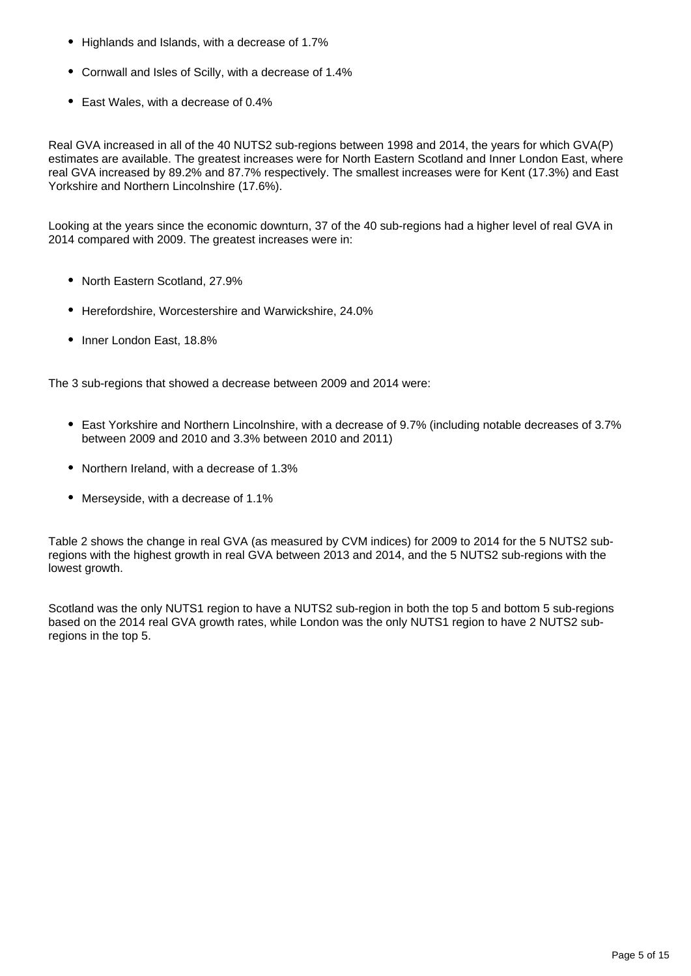- Highlands and Islands, with a decrease of 1.7%
- Cornwall and Isles of Scilly, with a decrease of 1.4%
- East Wales, with a decrease of 0.4%

Real GVA increased in all of the 40 NUTS2 sub-regions between 1998 and 2014, the years for which GVA(P) estimates are available. The greatest increases were for North Eastern Scotland and Inner London East, where real GVA increased by 89.2% and 87.7% respectively. The smallest increases were for Kent (17.3%) and East Yorkshire and Northern Lincolnshire (17.6%).

Looking at the years since the economic downturn, 37 of the 40 sub-regions had a higher level of real GVA in 2014 compared with 2009. The greatest increases were in:

- North Eastern Scotland, 27.9%
- Herefordshire, Worcestershire and Warwickshire, 24.0%
- Inner London East, 18.8%

The 3 sub-regions that showed a decrease between 2009 and 2014 were:

- East Yorkshire and Northern Lincolnshire, with a decrease of 9.7% (including notable decreases of 3.7% between 2009 and 2010 and 3.3% between 2010 and 2011)
- Northern Ireland, with a decrease of 1.3%
- Merseyside, with a decrease of 1.1%

Table 2 shows the change in real GVA (as measured by CVM indices) for 2009 to 2014 for the 5 NUTS2 subregions with the highest growth in real GVA between 2013 and 2014, and the 5 NUTS2 sub-regions with the lowest growth.

Scotland was the only NUTS1 region to have a NUTS2 sub-region in both the top 5 and bottom 5 sub-regions based on the 2014 real GVA growth rates, while London was the only NUTS1 region to have 2 NUTS2 subregions in the top 5.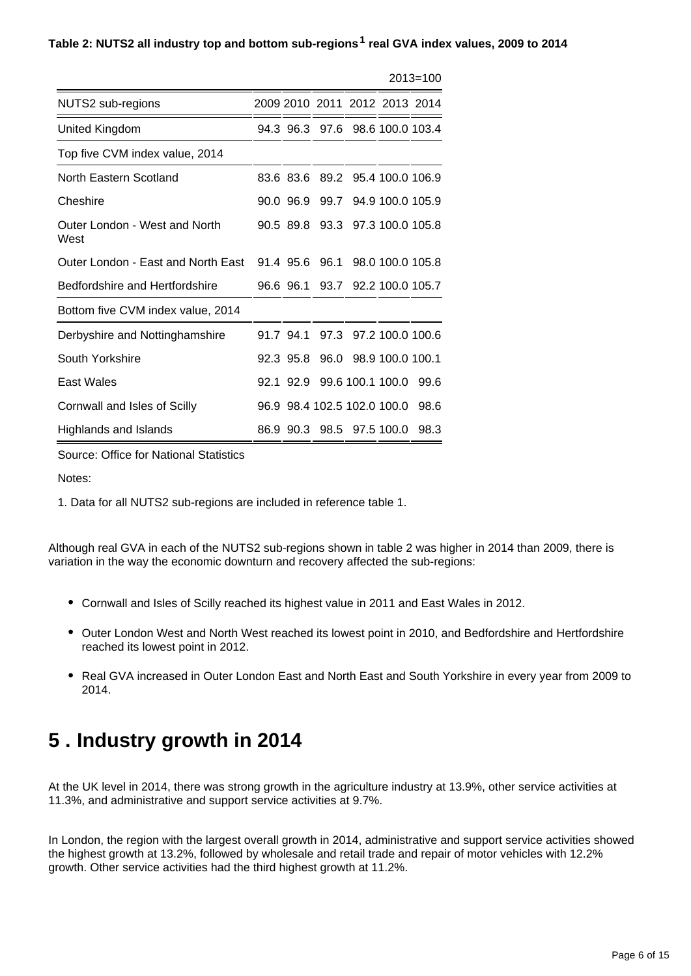#### Table 2: NUTS2 all industry top and bottom sub-regions<sup>1</sup> real GVA index values, 2009 to 2014

|                                       |           |                             |                                 | $2013 = 100$ |
|---------------------------------------|-----------|-----------------------------|---------------------------------|--------------|
| NUTS2 sub-regions                     |           |                             | 2009 2010 2011 2012 2013 2014   |              |
| United Kingdom                        |           |                             | 94.3 96.3 97.6 98.6 100.0 103.4 |              |
| Top five CVM index value, 2014        |           |                             |                                 |              |
| North Eastern Scotland                | 83.6 83.6 |                             | 89.2 95.4 100.0 106.9           |              |
| Cheshire                              | 90.0 96.9 |                             | 99.7 94.9 100.0 105.9           |              |
| Outer London - West and North<br>West | 90.5 89.8 |                             | 93.3 97.3 100.0 105.8           |              |
| Outer London - East and North East    |           |                             | 91.4 95.6 96.1 98.0 100.0 105.8 |              |
| Bedfordshire and Hertfordshire        | 96.6 96.1 |                             | 93.7 92.2 100.0 105.7           |              |
| Bottom five CVM index value, 2014     |           |                             |                                 |              |
| Derbyshire and Nottinghamshire        | 91.7 94.1 |                             | 97.3 97.2 100.0 100.6           |              |
| South Yorkshire                       | 92.3 95.8 |                             | 96.0 98.9 100.0 100.1           |              |
| East Wales                            |           | 92.1 92.9 99.6 100.1 100.0  |                                 | 99.6         |
| Cornwall and Isles of Scilly          |           | 96.9 98.4 102.5 102.0 100.0 |                                 | 98.6         |
| Highlands and Islands                 |           | 86.9 90.3 98.5 97.5 100.0   |                                 | 98.3         |

Source: Office for National Statistics

Notes:

1. Data for all NUTS2 sub-regions are included in reference table 1.

Although real GVA in each of the NUTS2 sub-regions shown in table 2 was higher in 2014 than 2009, there is variation in the way the economic downturn and recovery affected the sub-regions:

- Cornwall and Isles of Scilly reached its highest value in 2011 and East Wales in 2012.
- Outer London West and North West reached its lowest point in 2010, and Bedfordshire and Hertfordshire reached its lowest point in 2012.
- Real GVA increased in Outer London East and North East and South Yorkshire in every year from 2009 to 2014.

### <span id="page-5-0"></span>**5 . Industry growth in 2014**

At the UK level in 2014, there was strong growth in the agriculture industry at 13.9%, other service activities at 11.3%, and administrative and support service activities at 9.7%.

In London, the region with the largest overall growth in 2014, administrative and support service activities showed the highest growth at 13.2%, followed by wholesale and retail trade and repair of motor vehicles with 12.2% growth. Other service activities had the third highest growth at 11.2%.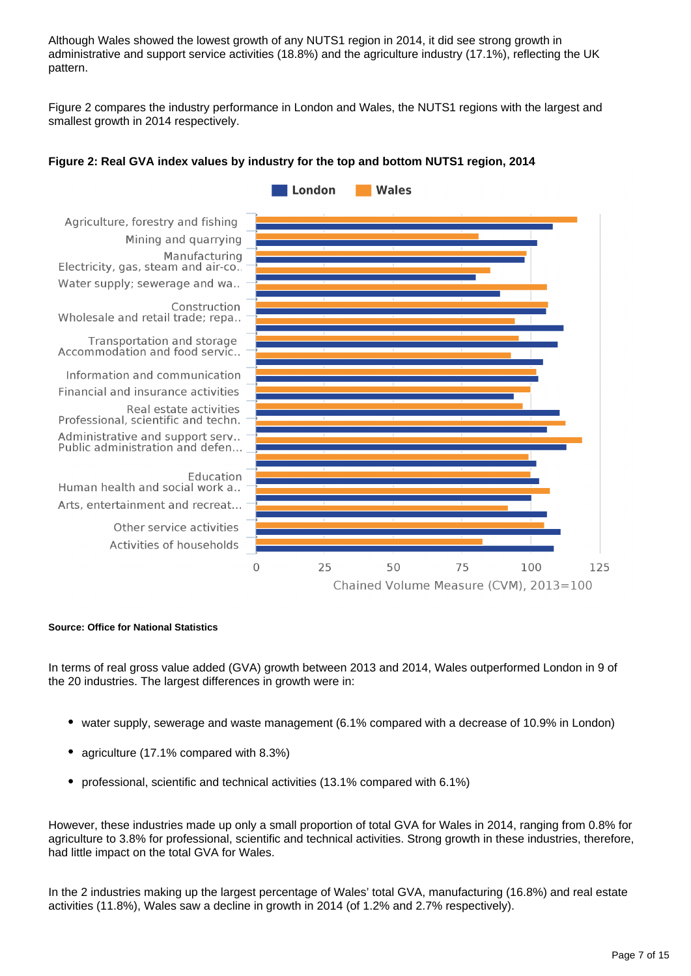Although Wales showed the lowest growth of any NUTS1 region in 2014, it did see strong growth in administrative and support service activities (18.8%) and the agriculture industry (17.1%), reflecting the UK pattern.

Figure 2 compares the industry performance in London and Wales, the NUTS1 regions with the largest and smallest growth in 2014 respectively.



#### **Figure 2: Real GVA index values by industry for the top and bottom NUTS1 region, 2014**

#### **Source: Office for National Statistics**

In terms of real gross value added (GVA) growth between 2013 and 2014, Wales outperformed London in 9 of the 20 industries. The largest differences in growth were in:

- water supply, sewerage and waste management (6.1% compared with a decrease of 10.9% in London)
- agriculture (17.1% compared with 8.3%)
- professional, scientific and technical activities (13.1% compared with 6.1%)

However, these industries made up only a small proportion of total GVA for Wales in 2014, ranging from 0.8% for agriculture to 3.8% for professional, scientific and technical activities. Strong growth in these industries, therefore, had little impact on the total GVA for Wales.

In the 2 industries making up the largest percentage of Wales' total GVA, manufacturing (16.8%) and real estate activities (11.8%), Wales saw a decline in growth in 2014 (of 1.2% and 2.7% respectively).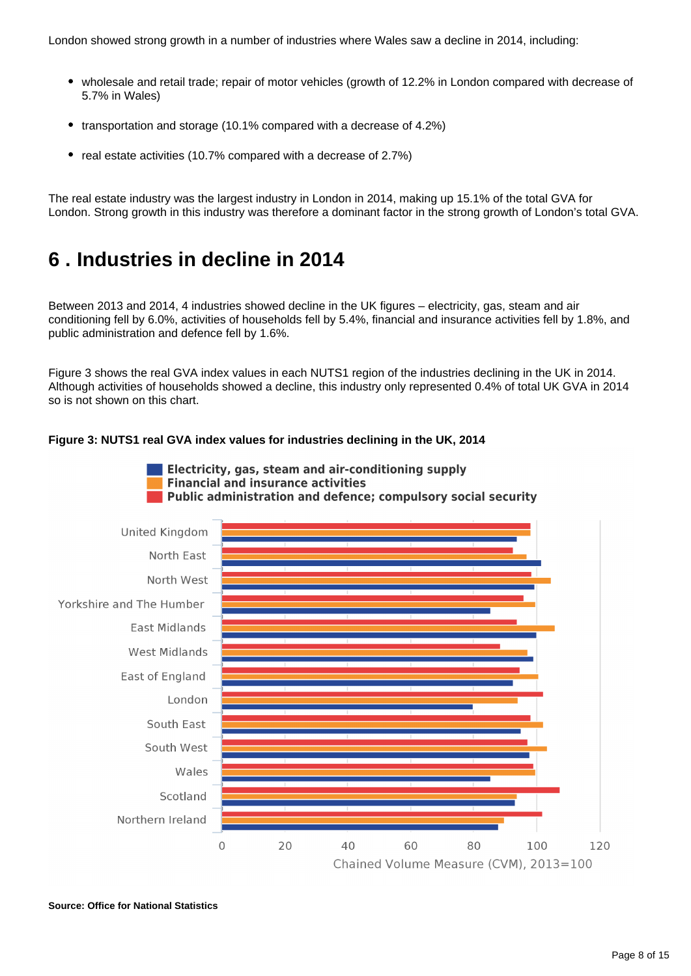- wholesale and retail trade; repair of motor vehicles (growth of 12.2% in London compared with decrease of 5.7% in Wales)
- transportation and storage (10.1% compared with a decrease of 4.2%)
- real estate activities (10.7% compared with a decrease of 2.7%)

The real estate industry was the largest industry in London in 2014, making up 15.1% of the total GVA for London. Strong growth in this industry was therefore a dominant factor in the strong growth of London's total GVA.

### <span id="page-7-0"></span>**6 . Industries in decline in 2014**

Between 2013 and 2014, 4 industries showed decline in the UK figures – electricity, gas, steam and air conditioning fell by 6.0%, activities of households fell by 5.4%, financial and insurance activities fell by 1.8%, and public administration and defence fell by 1.6%.

Figure 3 shows the real GVA index values in each NUTS1 region of the industries declining in the UK in 2014. Although activities of households showed a decline, this industry only represented 0.4% of total UK GVA in 2014 so is not shown on this chart.



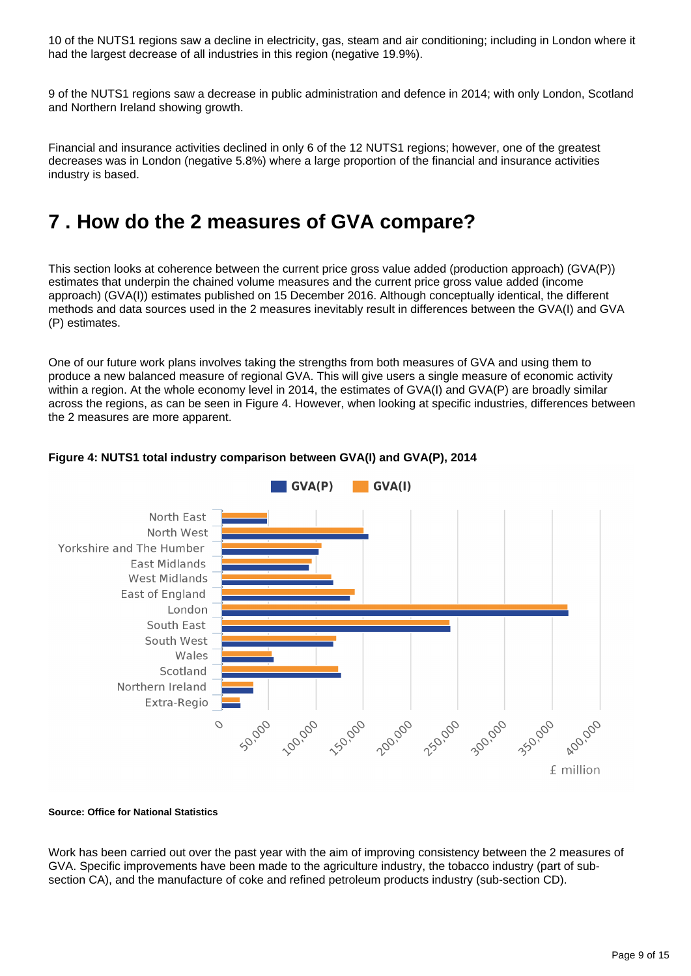10 of the NUTS1 regions saw a decline in electricity, gas, steam and air conditioning; including in London where it had the largest decrease of all industries in this region (negative 19.9%).

9 of the NUTS1 regions saw a decrease in public administration and defence in 2014; with only London, Scotland and Northern Ireland showing growth.

Financial and insurance activities declined in only 6 of the 12 NUTS1 regions; however, one of the greatest decreases was in London (negative 5.8%) where a large proportion of the financial and insurance activities industry is based.

## <span id="page-8-0"></span>**7 . How do the 2 measures of GVA compare?**

This section looks at coherence between the current price gross value added (production approach) (GVA(P)) estimates that underpin the chained volume measures and the current price gross value added (income approach) (GVA(I)) estimates published on 15 December 2016. Although conceptually identical, the different methods and data sources used in the 2 measures inevitably result in differences between the GVA(I) and GVA (P) estimates.

One of our future work plans involves taking the strengths from both measures of GVA and using them to produce a new balanced measure of regional GVA. This will give users a single measure of economic activity within a region. At the whole economy level in 2014, the estimates of GVA(I) and GVA(P) are broadly similar across the regions, as can be seen in Figure 4. However, when looking at specific industries, differences between the 2 measures are more apparent.



#### **Figure 4: NUTS1 total industry comparison between GVA(I) and GVA(P), 2014**

#### **Source: Office for National Statistics**

Work has been carried out over the past year with the aim of improving consistency between the 2 measures of GVA. Specific improvements have been made to the agriculture industry, the tobacco industry (part of subsection CA), and the manufacture of coke and refined petroleum products industry (sub-section CD).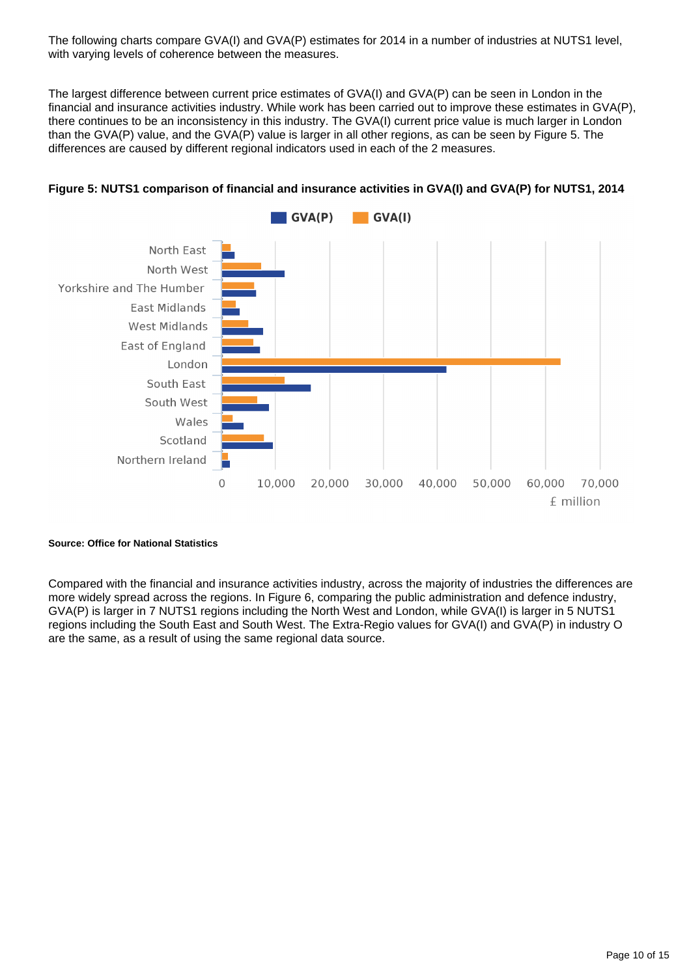The following charts compare GVA(I) and GVA(P) estimates for 2014 in a number of industries at NUTS1 level, with varying levels of coherence between the measures.

The largest difference between current price estimates of GVA(I) and GVA(P) can be seen in London in the financial and insurance activities industry. While work has been carried out to improve these estimates in GVA(P), there continues to be an inconsistency in this industry. The GVA(I) current price value is much larger in London than the GVA(P) value, and the GVA(P) value is larger in all other regions, as can be seen by Figure 5. The differences are caused by different regional indicators used in each of the 2 measures.





#### **Source: Office for National Statistics**

Compared with the financial and insurance activities industry, across the majority of industries the differences are more widely spread across the regions. In Figure 6, comparing the public administration and defence industry, GVA(P) is larger in 7 NUTS1 regions including the North West and London, while GVA(I) is larger in 5 NUTS1 regions including the South East and South West. The Extra-Regio values for GVA(I) and GVA(P) in industry O are the same, as a result of using the same regional data source.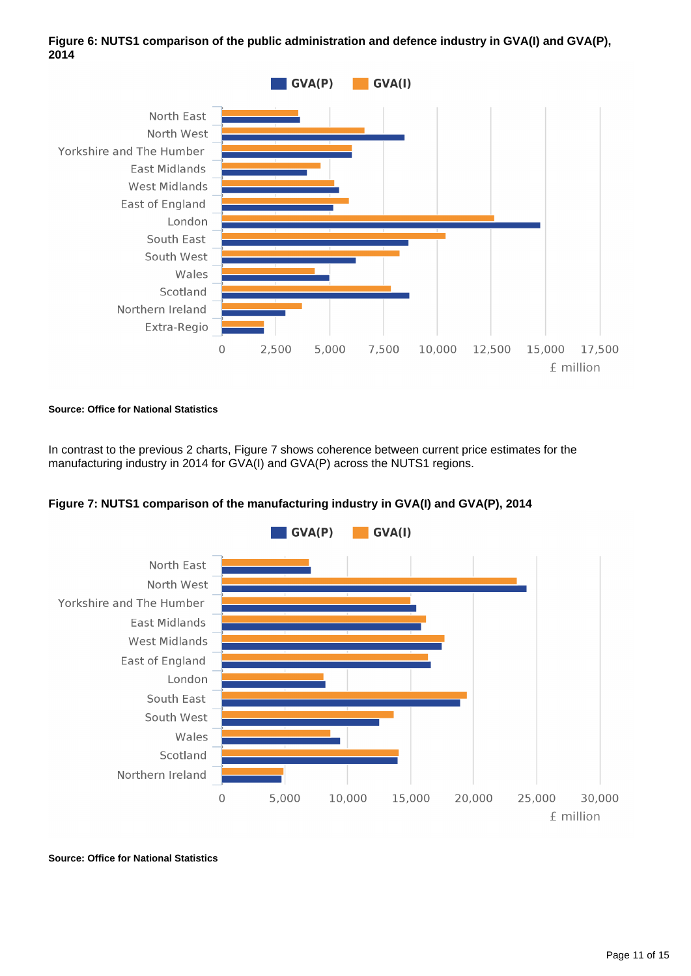

#### Figure 6: NUTS1 comparison of the public administration and defence industry in GVA(I) and GVA(P), **2014**

**Source: Office for National Statistics**

In contrast to the previous 2 charts, Figure 7 shows coherence between current price estimates for the manufacturing industry in 2014 for GVA(I) and GVA(P) across the NUTS1 regions.



### **Figure 7: NUTS1 comparison of the manufacturing industry in GVA(I) and GVA(P), 2014**

**Source: Office for National Statistics**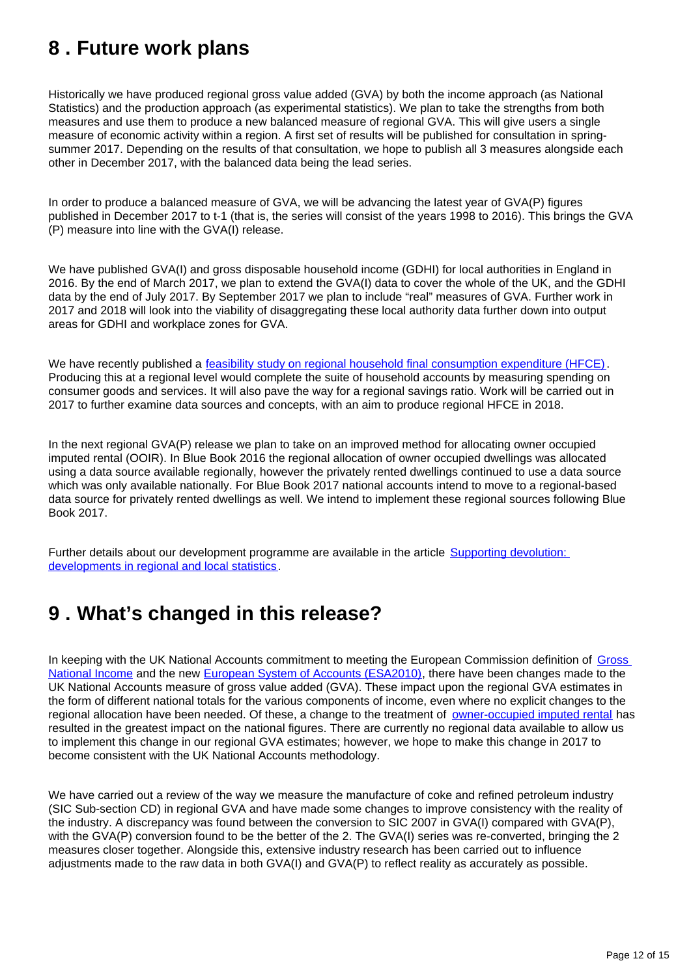## <span id="page-11-0"></span>**8 . Future work plans**

Historically we have produced regional gross value added (GVA) by both the income approach (as National Statistics) and the production approach (as experimental statistics). We plan to take the strengths from both measures and use them to produce a new balanced measure of regional GVA. This will give users a single measure of economic activity within a region. A first set of results will be published for consultation in springsummer 2017. Depending on the results of that consultation, we hope to publish all 3 measures alongside each other in December 2017, with the balanced data being the lead series.

In order to produce a balanced measure of GVA, we will be advancing the latest year of GVA(P) figures published in December 2017 to t-1 (that is, the series will consist of the years 1998 to 2016). This brings the GVA (P) measure into line with the GVA(I) release.

We have published GVA(I) and gross disposable household income (GDHI) for local authorities in England in 2016. By the end of March 2017, we plan to extend the GVA(I) data to cover the whole of the UK, and the GDHI data by the end of July 2017. By September 2017 we plan to include "real" measures of GVA. Further work in 2017 and 2018 will look into the viability of disaggregating these local authority data further down into output areas for GDHI and workplace zones for GVA.

We have recently published a [feasibility study on regional household final consumption expenditure \(HFCE\).](https://www.ons.gov.uk/economy/regionalaccounts/grossdisposablehouseholdincome/articles/thefeasibilityofproducingregionalhouseholdfinalconsumptionexpenditureuk/2016) Producing this at a regional level would complete the suite of household accounts by measuring spending on consumer goods and services. It will also pave the way for a regional savings ratio. Work will be carried out in 2017 to further examine data sources and concepts, with an aim to produce regional HFCE in 2018.

In the next regional GVA(P) release we plan to take on an improved method for allocating owner occupied imputed rental (OOIR). In Blue Book 2016 the regional allocation of owner occupied dwellings was allocated using a data source available regionally, however the privately rented dwellings continued to use a data source which was only available nationally. For Blue Book 2017 national accounts intend to move to a regional-based data source for privately rented dwellings as well. We intend to implement these regional sources following Blue Book 2017.

Further details about our development programme are available in the article Supporting devolution: [developments in regional and local statistics.](https://www.ons.gov.uk/economy/regionalaccounts/grossdisposablehouseholdincome/articles/supportingdevolutiondevelopmentsinregionalandlocalstatistics/2016-05-25)

## <span id="page-11-1"></span>**9 . What's changed in this release?**

In keeping with the UK National Accounts commitment to meeting the European Commission definition of [Gross](http://ec.europa.eu/eurostat/statistics-explained/index.php/Glossary:Gross_national_income_(GNI))  [National Income](http://ec.europa.eu/eurostat/statistics-explained/index.php/Glossary:Gross_national_income_(GNI)) and the new [European System of Accounts \(ESA2010\),](http://ec.europa.eu/eurostat/web/products-manuals-and-guidelines/-/KS-02-13-269) there have been changes made to the UK National Accounts measure of gross value added (GVA). These impact upon the regional GVA estimates in the form of different national totals for the various components of income, even where no explicit changes to the regional allocation have been needed. Of these, a change to the treatment of [owner-occupied imputed rental](https://www.ons.gov.uk/economy/nationalaccounts/uksectoraccounts/articles/changestonationalaccounts/imputedrental) has resulted in the greatest impact on the national figures. There are currently no regional data available to allow us to implement this change in our regional GVA estimates; however, we hope to make this change in 2017 to become consistent with the UK National Accounts methodology.

We have carried out a review of the way we measure the manufacture of coke and refined petroleum industry (SIC Sub-section CD) in regional GVA and have made some changes to improve consistency with the reality of the industry. A discrepancy was found between the conversion to SIC 2007 in GVA(I) compared with GVA(P), with the GVA(P) conversion found to be the better of the 2. The GVA(I) series was re-converted, bringing the 2 measures closer together. Alongside this, extensive industry research has been carried out to influence adjustments made to the raw data in both GVA(I) and GVA(P) to reflect reality as accurately as possible.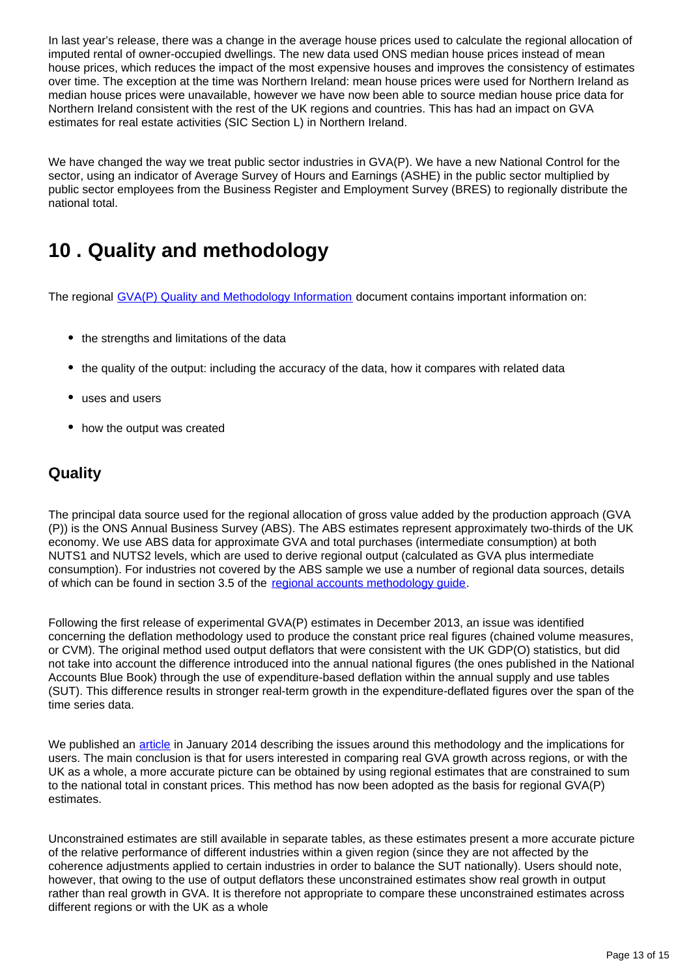In last year's release, there was a change in the average house prices used to calculate the regional allocation of imputed rental of owner-occupied dwellings. The new data used ONS median house prices instead of mean house prices, which reduces the impact of the most expensive houses and improves the consistency of estimates over time. The exception at the time was Northern Ireland: mean house prices were used for Northern Ireland as median house prices were unavailable, however we have now been able to source median house price data for Northern Ireland consistent with the rest of the UK regions and countries. This has had an impact on GVA estimates for real estate activities (SIC Section L) in Northern Ireland.

We have changed the way we treat public sector industries in GVA(P). We have a new National Control for the sector, using an indicator of Average Survey of Hours and Earnings (ASHE) in the public sector multiplied by public sector employees from the Business Register and Employment Survey (BRES) to regionally distribute the national total.

## <span id="page-12-0"></span>**10 . Quality and methodology**

The regional [GVA\(P\) Quality and Methodology Information](https://www.ons.gov.uk/economy/grossvalueaddedgva/qmis/regionalgrossvalueaddedproductionapproachqmi) document contains important information on:

- the strengths and limitations of the data
- the quality of the output: including the accuracy of the data, how it compares with related data
- uses and users
- how the output was created

### **Quality**

The principal data source used for the regional allocation of gross value added by the production approach (GVA (P)) is the ONS Annual Business Survey (ABS). The ABS estimates represent approximately two-thirds of the UK economy. We use ABS data for approximate GVA and total purchases (intermediate consumption) at both NUTS1 and NUTS2 levels, which are used to derive regional output (calculated as GVA plus intermediate consumption). For industries not covered by the ABS sample we use a number of regional data sources, details of which can be found in section 3.5 of the [regional accounts methodology guide.](http://www.ons.gov.uk/economy/regionalaccounts/grossdisposablehouseholdincome/methodologies/regionalaccounts)

Following the first release of experimental GVA(P) estimates in December 2013, an issue was identified concerning the deflation methodology used to produce the constant price real figures (chained volume measures, or CVM). The original method used output deflators that were consistent with the UK GDP(O) statistics, but did not take into account the difference introduced into the annual national figures (the ones published in the National Accounts Blue Book) through the use of expenditure-based deflation within the annual supply and use tables (SUT). This difference results in stronger real-term growth in the expenditure-deflated figures over the span of the time series data.

We published an [article](http://www.ons.gov.uk/ons/guide-method/method-quality/specific/economy/regional-accounts/development-of-a-regional-measure-of-real-gross-value-added-using-a-production-approach.pdf) in January 2014 describing the issues around this methodology and the implications for users. The main conclusion is that for users interested in comparing real GVA growth across regions, or with the UK as a whole, a more accurate picture can be obtained by using regional estimates that are constrained to sum to the national total in constant prices. This method has now been adopted as the basis for regional GVA(P) estimates.

Unconstrained estimates are still available in separate tables, as these estimates present a more accurate picture of the relative performance of different industries within a given region (since they are not affected by the coherence adjustments applied to certain industries in order to balance the SUT nationally). Users should note, however, that owing to the use of output deflators these unconstrained estimates show real growth in output rather than real growth in GVA. It is therefore not appropriate to compare these unconstrained estimates across different regions or with the UK as a whole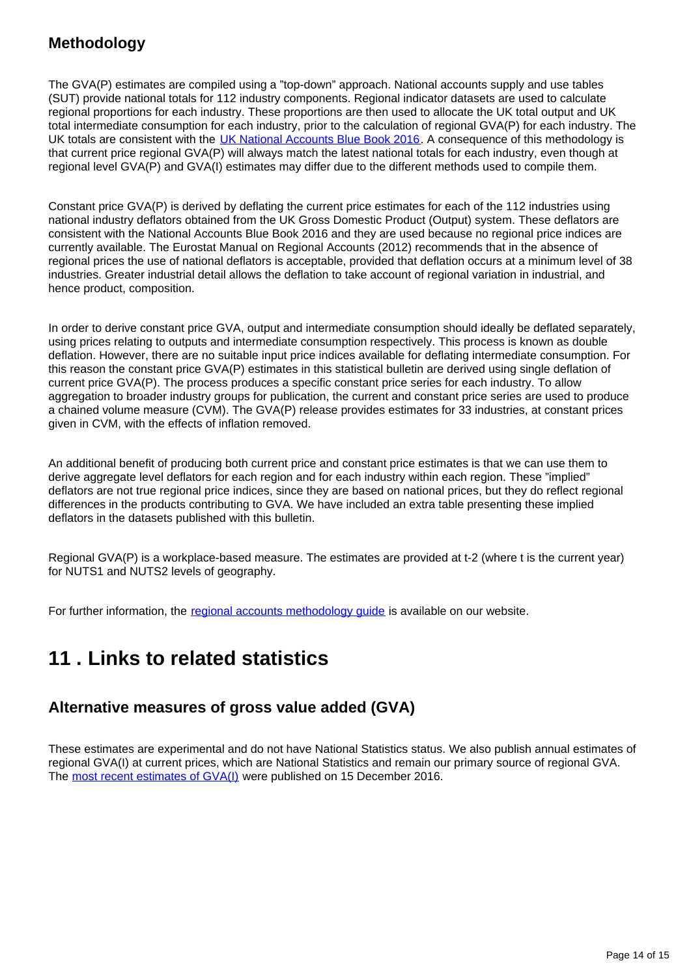### **Methodology**

The GVA(P) estimates are compiled using a "top-down" approach. National accounts supply and use tables (SUT) provide national totals for 112 industry components. Regional indicator datasets are used to calculate regional proportions for each industry. These proportions are then used to allocate the UK total output and UK total intermediate consumption for each industry, prior to the calculation of regional GVA(P) for each industry. The UK totals are consistent with the [UK National Accounts Blue Book 2016](http://www.ons.gov.uk/economy/grossdomesticproductgdp/compendium/unitedkingdomnationalaccountsthebluebook/2016edition). A consequence of this methodology is that current price regional GVA(P) will always match the latest national totals for each industry, even though at regional level GVA(P) and GVA(I) estimates may differ due to the different methods used to compile them.

Constant price GVA(P) is derived by deflating the current price estimates for each of the 112 industries using national industry deflators obtained from the UK Gross Domestic Product (Output) system. These deflators are consistent with the National Accounts Blue Book 2016 and they are used because no regional price indices are currently available. The Eurostat Manual on Regional Accounts (2012) recommends that in the absence of regional prices the use of national deflators is acceptable, provided that deflation occurs at a minimum level of 38 industries. Greater industrial detail allows the deflation to take account of regional variation in industrial, and hence product, composition.

In order to derive constant price GVA, output and intermediate consumption should ideally be deflated separately, using prices relating to outputs and intermediate consumption respectively. This process is known as double deflation. However, there are no suitable input price indices available for deflating intermediate consumption. For this reason the constant price GVA(P) estimates in this statistical bulletin are derived using single deflation of current price GVA(P). The process produces a specific constant price series for each industry. To allow aggregation to broader industry groups for publication, the current and constant price series are used to produce a chained volume measure (CVM). The GVA(P) release provides estimates for 33 industries, at constant prices given in CVM, with the effects of inflation removed.

An additional benefit of producing both current price and constant price estimates is that we can use them to derive aggregate level deflators for each region and for each industry within each region. These "implied" deflators are not true regional price indices, since they are based on national prices, but they do reflect regional differences in the products contributing to GVA. We have included an extra table presenting these implied deflators in the datasets published with this bulletin.

Regional GVA(P) is a workplace-based measure. The estimates are provided at t-2 (where t is the current year) for NUTS1 and NUTS2 levels of geography.

For further information, the regional accounts methodology quide is available on our website.

## <span id="page-13-0"></span>**11 . Links to related statistics**

### **Alternative measures of gross value added (GVA)**

These estimates are experimental and do not have National Statistics status. We also publish annual estimates of regional GVA(I) at current prices, which are National Statistics and remain our primary source of regional GVA. The [most recent estimates of GVA\(I\)](https://www.ons.gov.uk/economy/grossvalueaddedgva/bulletins/regionalgrossvalueaddedincomeapproach/december2016) were published on 15 December 2016.